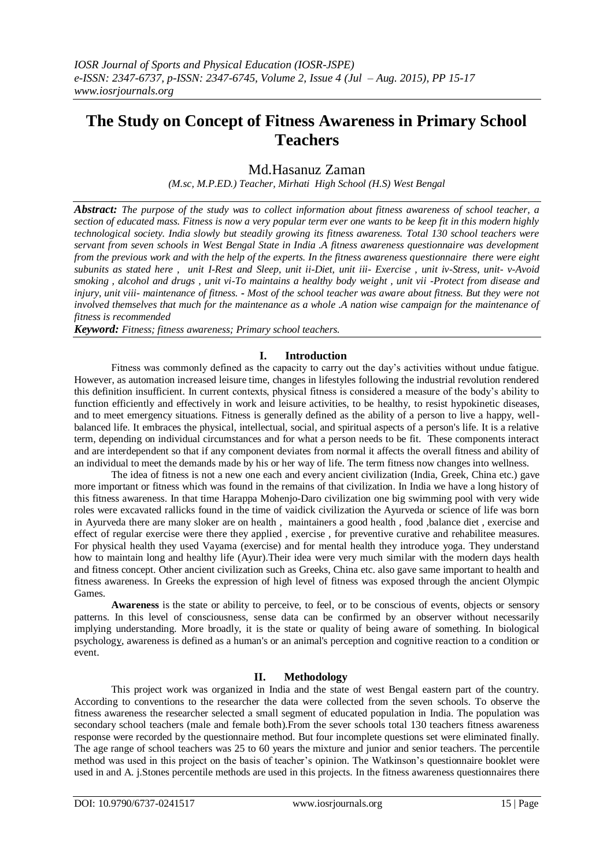# **The Study on Concept of Fitness Awareness in Primary School Teachers**

## Md.Hasanuz Zaman

*(M.sc, M.P.ED.) Teacher, Mirhati High School (H.S) West Bengal*

*Abstract: The purpose of the study was to collect information about fitness awareness of school teacher, a section of educated mass. Fitness is now a very popular term ever one wants to be keep fit in this modern highly technological society. India slowly but steadily growing its fitness awareness. Total 130 school teachers were servant from seven schools in West Bengal State in India .A fitness awareness questionnaire was development from the previous work and with the help of the experts. In the fitness awareness questionnaire there were eight subunits as stated here , unit I-Rest and Sleep, unit ii-Diet, unit iii- Exercise , unit iv-Stress, unit- v-Avoid smoking , alcohol and drugs , unit vi-To maintains a healthy body weight , unit vii -Protect from disease and injury, unit viii- maintenance of fitness. - Most of the school teacher was aware about fitness. But they were not involved themselves that much for the maintenance as a whole .A nation wise campaign for the maintenance of fitness is recommended*

*Keyword: Fitness; fitness awareness; Primary school teachers.*

## **I. Introduction**

Fitness was commonly defined as the capacity to carry out the day's activities without undue fatigue. However, as automation increased leisure time, changes in lifestyles following the industrial revolution rendered this definition insufficient. In current contexts, physical fitness is considered a measure of the body"s ability to function efficiently and effectively in work and leisure activities, to be [healthy,](http://en.wikipedia.org/wiki/Health) to resist [hypokinetic](http://en.wikipedia.org/wiki/Hypokinetic_diseases) diseases, and to meet emergency situations. Fitness is generally defined as the ability of a person to live a happy, wellbalanced life. It embraces the physical, intellectual, social, and spiritual aspects of a person's life. It is a relative term, depending on individual circumstances and for what a person needs to be fit. These components interact and are interdependent so that if any component deviates from normal it affects the overall fitness and ability of an individual to meet the demands made by his or her way of life. The term fitness now changes into wellness.

The idea of fitness is not a new one each and every ancient civilization (India, Greek, China etc.) gave more important or fitness which was found in the remains of that civilization. In India we have a long history of this fitness awareness. In that time Harappa Mohenjo-Daro civilization one big swimming pool with very wide roles were excavated rallicks found in the time of vaidick civilization the Ayurveda or science of life was born in Ayurveda there are many sloker are on health , maintainers a good health , food ,balance diet , exercise and effect of regular exercise were there they applied , exercise , for preventive curative and rehabilitee measures. For physical health they used Vayama (exercise) and for mental health they introduce yoga. They understand how to maintain long and healthy life (Ayur).Their idea were very much similar with the modern days health and fitness concept. Other ancient civilization such as Greeks, China etc. also gave same important to health and fitness awareness. In Greeks the expression of high level of fitness was exposed through the ancient Olympic Games.

**Awareness** is the state or ability to perceive, to feel, or to be [conscious](http://en.wikipedia.org/wiki/Conscious) of events, [objects](http://en.wikipedia.org/wiki/Object_(philosophy)) or sensory [patterns.](http://en.wikipedia.org/wiki/Pattern) In this level of consciousness, sense data can be confirmed by an observer without necessarily implying [understanding.](http://en.wikipedia.org/wiki/Understanding) More broadly, it is the state or quality of being aware of something. In [biological](http://en.wikipedia.org/wiki/Biological_psychology)  [psychology,](http://en.wikipedia.org/wiki/Biological_psychology) awareness is defined as a human's or an animal's [perception](http://en.wikipedia.org/wiki/Perception) an[d cognitive](http://en.wikipedia.org/wiki/Cognitive) reaction to a condition or event.

### **II. Methodology**

This project work was organized in India and the state of west Bengal eastern part of the country. According to conventions to the researcher the data were collected from the seven schools. To observe the fitness awareness the researcher selected a small segment of educated population in India. The population was secondary school teachers (male and female both).From the sever schools total 130 teachers fitness awareness response were recorded by the questionnaire method. But four incomplete questions set were eliminated finally. The age range of school teachers was 25 to 60 years the mixture and junior and senior teachers. The percentile method was used in this project on the basis of teacher"s opinion. The Watkinson"s questionnaire booklet were used in and A. j.Stones percentile methods are used in this projects. In the fitness awareness questionnaires there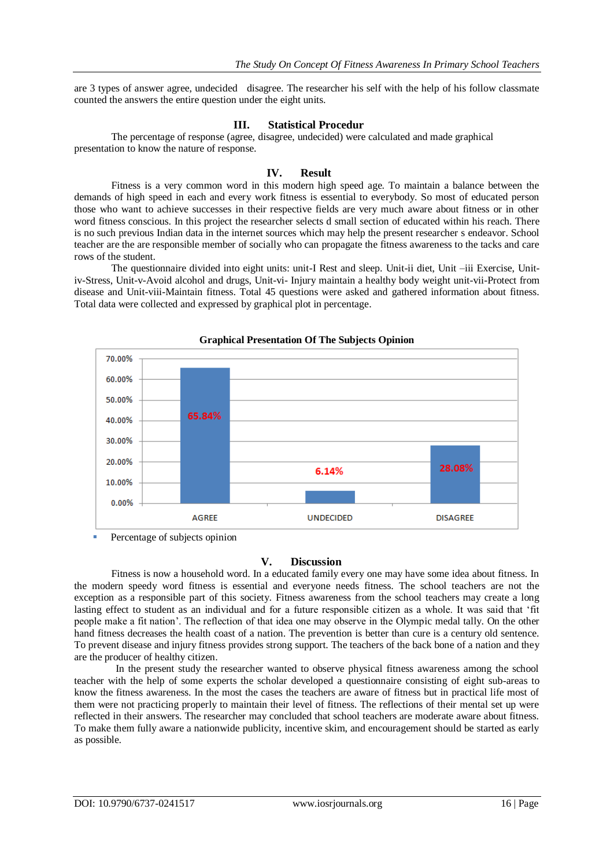are 3 types of answer agree, undecided disagree. The researcher his self with the help of his follow classmate counted the answers the entire question under the eight units.

#### **III. Statistical Procedur**

The percentage of response (agree, disagree, undecided) were calculated and made graphical presentation to know the nature of response.

#### **IV. Result**

Fitness is a very common word in this modern high speed age. To maintain a balance between the demands of high speed in each and every work fitness is essential to everybody. So most of educated person those who want to achieve successes in their respective fields are very much aware about fitness or in other word fitness conscious. In this project the researcher selects d small section of educated within his reach. There is no such previous Indian data in the internet sources which may help the present researcher s endeavor. School teacher are the are responsible member of socially who can propagate the fitness awareness to the tacks and care rows of the student.

The questionnaire divided into eight units: unit-I Rest and sleep. Unit-ii diet, Unit –iii Exercise, Unitiv-Stress, Unit-v-Avoid alcohol and drugs, Unit-vi- Injury maintain a healthy body weight unit-vii-Protect from disease and Unit-viii-Maintain fitness. Total 45 questions were asked and gathered information about fitness. Total data were collected and expressed by graphical plot in percentage.



**Graphical Presentation Of The Subjects Opinion**

Percentage of subjects opinion

## **V. Discussion**

Fitness is now a household word. In a educated family every one may have some idea about fitness. In the modern speedy word fitness is essential and everyone needs fitness. The school teachers are not the exception as a responsible part of this society. Fitness awareness from the school teachers may create a long lasting effect to student as an individual and for a future responsible citizen as a whole. It was said that "fit people make a fit nation". The reflection of that idea one may observe in the Olympic medal tally. On the other hand fitness decreases the health coast of a nation. The prevention is better than cure is a century old sentence. To prevent disease and injury fitness provides strong support. The teachers of the back bone of a nation and they are the producer of healthy citizen.

 In the present study the researcher wanted to observe physical fitness awareness among the school teacher with the help of some experts the scholar developed a questionnaire consisting of eight sub-areas to know the fitness awareness. In the most the cases the teachers are aware of fitness but in practical life most of them were not practicing properly to maintain their level of fitness. The reflections of their mental set up were reflected in their answers. The researcher may concluded that school teachers are moderate aware about fitness. To make them fully aware a nationwide publicity, incentive skim, and encouragement should be started as early as possible.